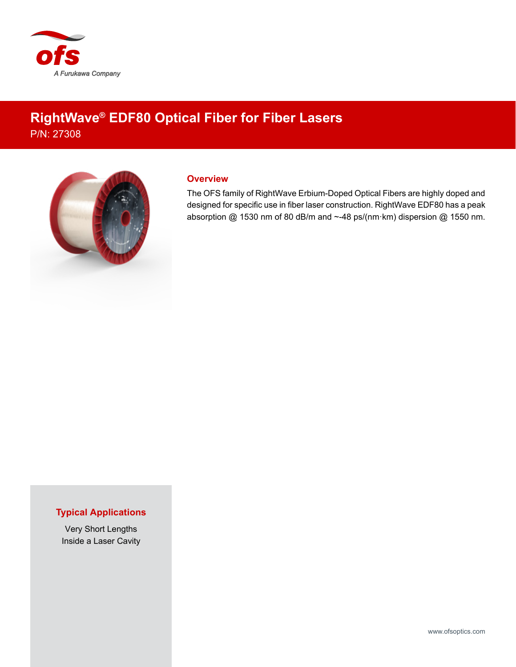

## **RightWave® EDF80 Optical Fiber for Fiber Lasers** P/N: 27308



## **Overview**

The OFS family of RightWave Erbium-Doped Optical Fibers are highly doped and designed for specific use in fiber laser construction. RightWave EDF80 has a peak absorption @ 1530 nm of 80 dB/m and ~-48 ps/(nm·km) dispersion @ 1550 nm.

## **Typical Applications**

Very Short Lengths Inside a Laser Cavity